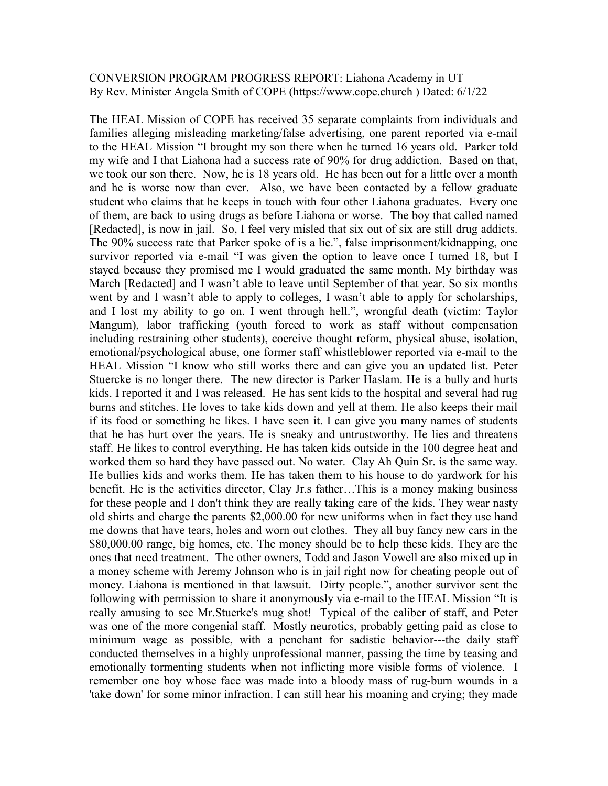## CONVERSION PROGRAM PROGRESS REPORT: Liahona Academy in UT By Rev. Minister Angela Smith of COPE (https://www.cope.church ) Dated: 6/1/22

The HEAL Mission of COPE has received 35 separate complaints from individuals and families alleging misleading marketing/false advertising, one parent reported via e-mail to the HEAL Mission "I brought my son there when he turned 16 years old. Parker told my wife and I that Liahona had a success rate of 90% for drug addiction. Based on that, we took our son there. Now, he is 18 years old. He has been out for a little over a month and he is worse now than ever. Also, we have been contacted by a fellow graduate student who claims that he keeps in touch with four other Liahona graduates. Every one of them, are back to using drugs as before Liahona or worse. The boy that called named [Redacted], is now in jail. So, I feel very misled that six out of six are still drug addicts. The 90% success rate that Parker spoke of is a lie.", false imprisonment/kidnapping, one survivor reported via e-mail "I was given the option to leave once I turned 18, but I stayed because they promised me I would graduated the same month. My birthday was March [Redacted] and I wasn't able to leave until September of that year. So six months went by and I wasn't able to apply to colleges, I wasn't able to apply for scholarships, and I lost my ability to go on. I went through hell.", wrongful death (victim: Taylor Mangum), labor trafficking (youth forced to work as staff without compensation including restraining other students), coercive thought reform, physical abuse, isolation, emotional/psychological abuse, one former staff whistleblower reported via e-mail to the HEAL Mission "I know who still works there and can give you an updated list. Peter Stuercke is no longer there. The new director is Parker Haslam. He is a bully and hurts kids. I reported it and I was released. He has sent kids to the hospital and several had rug burns and stitches. He loves to take kids down and yell at them. He also keeps their mail if its food or something he likes. I have seen it. I can give you many names of students that he has hurt over the years. He is sneaky and untrustworthy. He lies and threatens staff. He likes to control everything. He has taken kids outside in the 100 degree heat and worked them so hard they have passed out. No water. Clay Ah Quin Sr. is the same way. He bullies kids and works them. He has taken them to his house to do yardwork for his benefit. He is the activities director, Clay Jr.s father…This is a money making business for these people and I don't think they are really taking care of the kids. They wear nasty old shirts and charge the parents \$2,000.00 for new uniforms when in fact they use hand me downs that have tears, holes and worn out clothes. They all buy fancy new cars in the \$80,000.00 range, big homes, etc. The money should be to help these kids. They are the ones that need treatment. The other owners, Todd and Jason Vowell are also mixed up in a money scheme with Jeremy Johnson who is in jail right now for cheating people out of money. Liahona is mentioned in that lawsuit. Dirty people.", another survivor sent the following with permission to share it anonymously via e-mail to the HEAL Mission "It is really amusing to see Mr.Stuerke's mug shot! Typical of the caliber of staff, and Peter was one of the more congenial staff. Mostly neurotics, probably getting paid as close to minimum wage as possible, with a penchant for sadistic behavior---the daily staff conducted themselves in a highly unprofessional manner, passing the time by teasing and emotionally tormenting students when not inflicting more visible forms of violence. I remember one boy whose face was made into a bloody mass of rug-burn wounds in a 'take down' for some minor infraction. I can still hear his moaning and crying; they made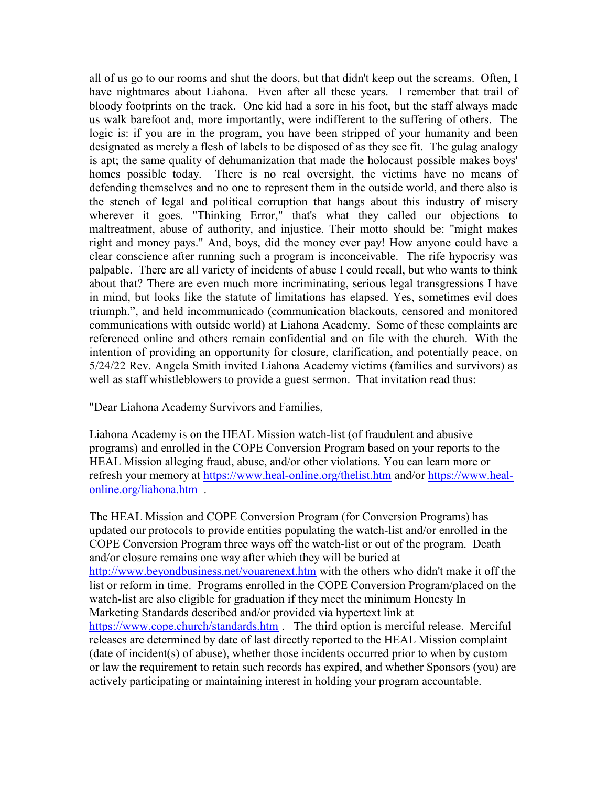all of us go to our rooms and shut the doors, but that didn't keep out the screams. Often, I have nightmares about Liahona. Even after all these years. I remember that trail of bloody footprints on the track. One kid had a sore in his foot, but the staff always made us walk barefoot and, more importantly, were indifferent to the suffering of others. The logic is: if you are in the program, you have been stripped of your humanity and been designated as merely a flesh of labels to be disposed of as they see fit. The gulag analogy is apt; the same quality of dehumanization that made the holocaust possible makes boys' homes possible today. There is no real oversight, the victims have no means of defending themselves and no one to represent them in the outside world, and there also is the stench of legal and political corruption that hangs about this industry of misery wherever it goes. "Thinking Error," that's what they called our objections to maltreatment, abuse of authority, and injustice. Their motto should be: "might makes right and money pays." And, boys, did the money ever pay! How anyone could have a clear conscience after running such a program is inconceivable. The rife hypocrisy was palpable. There are all variety of incidents of abuse I could recall, but who wants to think about that? There are even much more incriminating, serious legal transgressions I have in mind, but looks like the statute of limitations has elapsed. Yes, sometimes evil does triumph.", and held incommunicado (communication blackouts, censored and monitored communications with outside world) at Liahona Academy. Some of these complaints are referenced online and others remain confidential and on file with the church. With the intention of providing an opportunity for closure, clarification, and potentially peace, on 5/24/22 Rev. Angela Smith invited Liahona Academy victims (families and survivors) as well as staff whistleblowers to provide a guest sermon. That invitation read thus:

"Dear Liahona Academy Survivors and Families,

Liahona Academy is on the HEAL Mission watch-list (of fraudulent and abusive programs) and enrolled in the COPE Conversion Program based on your reports to the HEAL Mission alleging fraud, abuse, and/or other violations. You can learn more or refresh your memory at https://www.heal-online.org/thelist.htm and/or https://www.healonline.org/liahona.htm .

The HEAL Mission and COPE Conversion Program (for Conversion Programs) has updated our protocols to provide entities populating the watch-list and/or enrolled in the COPE Conversion Program three ways off the watch-list or out of the program. Death and/or closure remains one way after which they will be buried at http://www.beyondbusiness.net/youarenext.htm with the others who didn't make it off the list or reform in time. Programs enrolled in the COPE Conversion Program/placed on the watch-list are also eligible for graduation if they meet the minimum Honesty In Marketing Standards described and/or provided via hypertext link at https://www.cope.church/standards.htm . The third option is merciful release. Merciful releases are determined by date of last directly reported to the HEAL Mission complaint (date of incident(s) of abuse), whether those incidents occurred prior to when by custom or law the requirement to retain such records has expired, and whether Sponsors (you) are actively participating or maintaining interest in holding your program accountable.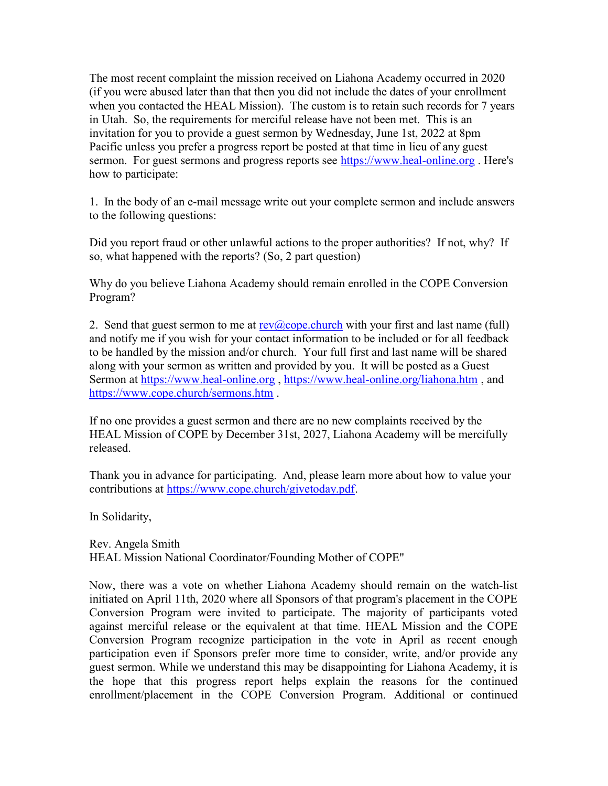The most recent complaint the mission received on Liahona Academy occurred in 2020 (if you were abused later than that then you did not include the dates of your enrollment when you contacted the HEAL Mission). The custom is to retain such records for 7 years in Utah. So, the requirements for merciful release have not been met. This is an invitation for you to provide a guest sermon by Wednesday, June 1st, 2022 at 8pm Pacific unless you prefer a progress report be posted at that time in lieu of any guest sermon. For guest sermons and progress reports see https://www.heal-online.org. Here's how to participate:

1. In the body of an e-mail message write out your complete sermon and include answers to the following questions:

Did you report fraud or other unlawful actions to the proper authorities? If not, why? If so, what happened with the reports? (So, 2 part question)

Why do you believe Liahona Academy should remain enrolled in the COPE Conversion Program?

2. Send that guest sermon to me at  $rev(a)$  cope. church with your first and last name (full) and notify me if you wish for your contact information to be included or for all feedback to be handled by the mission and/or church. Your full first and last name will be shared along with your sermon as written and provided by you. It will be posted as a Guest Sermon at https://www.heal-online.org , https://www.heal-online.org/liahona.htm , and https://www.cope.church/sermons.htm .

If no one provides a guest sermon and there are no new complaints received by the HEAL Mission of COPE by December 31st, 2027, Liahona Academy will be mercifully released.

Thank you in advance for participating. And, please learn more about how to value your contributions at https://www.cope.church/givetoday.pdf.

In Solidarity,

Rev. Angela Smith HEAL Mission National Coordinator/Founding Mother of COPE"

Now, there was a vote on whether Liahona Academy should remain on the watch-list initiated on April 11th, 2020 where all Sponsors of that program's placement in the COPE Conversion Program were invited to participate. The majority of participants voted against merciful release or the equivalent at that time. HEAL Mission and the COPE Conversion Program recognize participation in the vote in April as recent enough participation even if Sponsors prefer more time to consider, write, and/or provide any guest sermon. While we understand this may be disappointing for Liahona Academy, it is the hope that this progress report helps explain the reasons for the continued enrollment/placement in the COPE Conversion Program. Additional or continued